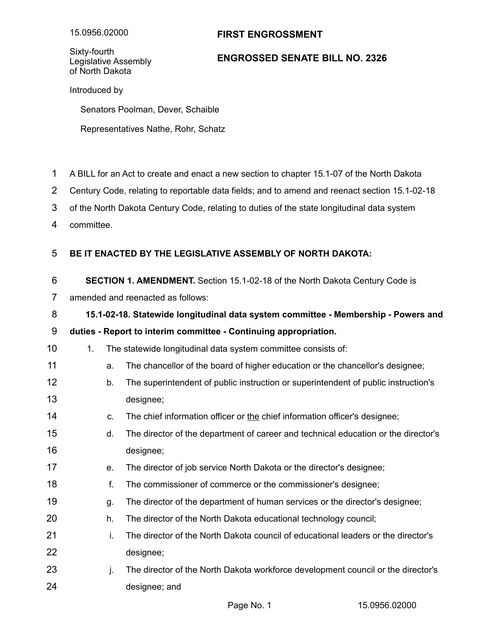# **FIRST ENGROSSMENT**

Sixty-fourth Legislative Assembly of North Dakota

## **ENGROSSED SENATE BILL NO. 2326**

Introduced by

Senators Poolman, Dever, Schaible

Representatives Nathe, Rohr, Schatz

- A BILL for an Act to create and enact a new section to chapter 15.1-07 of the North Dakota 1
- Century Code, relating to reportable data fields; and to amend and reenact section 15.1-02-18 2
- of the North Dakota Century Code, relating to duties of the state longitudinal data system 3
- committee. 4

#### **BE IT ENACTED BY THE LEGISLATIVE ASSEMBLY OF NORTH DAKOTA:** 5

- **SECTION 1. AMENDMENT.** Section 15.1-02-18 of the North Dakota Century Code is 6
- amended and reenacted as follows: 7

### **15.1-02-18. Statewide longitudinal data system committee - Membership - Powers and** 8

#### **duties - Report to interim committee - Continuing appropriation.** 9

- 1. The statewide longitudinal data system committee consists of: 10
- a. The chancellor of the board of higher education or the chancellor's designee; 11
- b. The superintendent of public instruction or superintendent of public instruction's designee; 12 13
- c. The chief information officer or the chief information officer's designee; 14
- d. The director of the department of career and technical education or the director's designee; 15 16
- e. The director of job service North Dakota or the director's designee; 17
- f. The commissioner of commerce or the commissioner's designee; 18
- g. The director of the department of human services or the director's designee; 19
- h. The director of the North Dakota educational technology council; 20
- i. The director of the North Dakota council of educational leaders or the director's designee; 21 22
- j. The director of the North Dakota workforce development council or the director's designee; and 23 24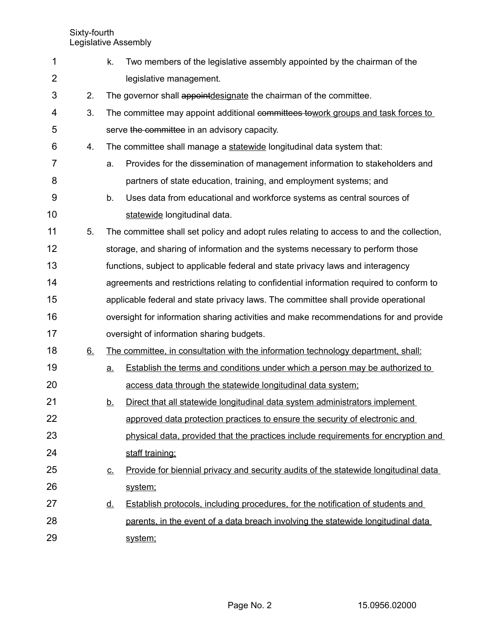Sixty-fourth Legislative Assembly

| 1              |    | k.                                                                                      | Two members of the legislative assembly appointed by the chairman of the                 |  |  |
|----------------|----|-----------------------------------------------------------------------------------------|------------------------------------------------------------------------------------------|--|--|
| $\overline{2}$ |    |                                                                                         | legislative management.                                                                  |  |  |
| 3              | 2. |                                                                                         | The governor shall appointdesignate the chairman of the committee.                       |  |  |
| 4              | 3. |                                                                                         | The committee may appoint additional committees towork groups and task forces to         |  |  |
| 5              |    |                                                                                         | serve the committee in an advisory capacity.                                             |  |  |
| 6              | 4. |                                                                                         | The committee shall manage a statewide longitudinal data system that:                    |  |  |
| 7              |    | a.                                                                                      | Provides for the dissemination of management information to stakeholders and             |  |  |
| 8              |    |                                                                                         | partners of state education, training, and employment systems; and                       |  |  |
| 9              |    | b.                                                                                      | Uses data from educational and workforce systems as central sources of                   |  |  |
| 10             |    |                                                                                         | statewide longitudinal data.                                                             |  |  |
| 11             | 5. |                                                                                         | The committee shall set policy and adopt rules relating to access to and the collection, |  |  |
| 12             |    |                                                                                         | storage, and sharing of information and the systems necessary to perform those           |  |  |
| 13             |    |                                                                                         | functions, subject to applicable federal and state privacy laws and interagency          |  |  |
| 14             |    | agreements and restrictions relating to confidential information required to conform to |                                                                                          |  |  |
| 15             |    |                                                                                         | applicable federal and state privacy laws. The committee shall provide operational       |  |  |
| 16             |    |                                                                                         | oversight for information sharing activities and make recommendations for and provide    |  |  |
| 17             |    |                                                                                         | oversight of information sharing budgets.                                                |  |  |
| 18             | 6. |                                                                                         | The committee, in consultation with the information technology department, shall:        |  |  |
| 19             |    | a.                                                                                      | Establish the terms and conditions under which a person may be authorized to             |  |  |
| 20             |    |                                                                                         | access data through the statewide longitudinal data system;                              |  |  |
| 21             |    | <u>b.</u>                                                                               | Direct that all statewide longitudinal data system administrators implement              |  |  |
| 22             |    |                                                                                         | approved data protection practices to ensure the security of electronic and              |  |  |
| 23             |    |                                                                                         | physical data, provided that the practices include requirements for encryption and       |  |  |
| 24             |    |                                                                                         | staff training;                                                                          |  |  |
| 25             |    | <u>C.</u>                                                                               | Provide for biennial privacy and security audits of the statewide longitudinal data      |  |  |
| 26             |    |                                                                                         | system;                                                                                  |  |  |
| 27             |    | <u>d.</u>                                                                               | <b>Establish protocols, including procedures, for the notification of students and</b>   |  |  |
| 28             |    |                                                                                         | parents, in the event of a data breach involving the statewide longitudinal data         |  |  |
| 29             |    |                                                                                         | system;                                                                                  |  |  |